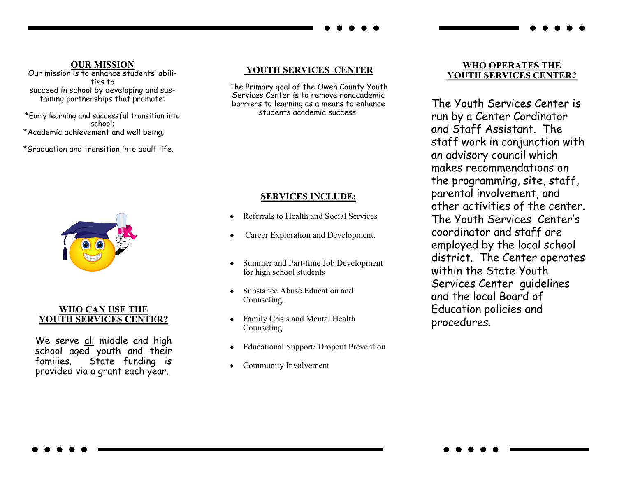#### **OUR MISSION**

Our mission is to enhance students' abilities to succeed in school by developing and sustaining partnerships that promote:

\*Early learning and successful transition into school; \*Academic achievement and well being;

\*Graduation and transition into adult life.



### **WHO CAN USE THE YOUTH SERVICES CENTER?**

We serve all middle and high school aged youth and their families. State funding is provided via a grant each year.

## **YOUTH SERVICES CENTER**

The Primary goal of the Owen County Youth Services Center is to remove nonacademic barriers to learning as a means to enhance students academic success.

### **SERVICES INCLUDE:**

- Referrals to Health and Social Services
- Career Exploration and Development.
- Summer and Part-time Job Development for high school students
- Substance Abuse Education and Counseling.
- Family Crisis and Mental Health Counseling
- Educational Support/ Dropout Prevention
- Community Involvement

#### **WHO OPERATES THE YOUTH SERVICES CENTER?**

The Youth Services Center is run by a Center Cordinator and Staff Assistant. The staff work in conjunction with an advisory council which makes recommendations on the programming, site, staff, parental involvement, and other activities of the center. The Youth Services Center's coordinator and staff are employed by the local school district. The Center operates within the State Youth Services Center guidelines and the local Board of Education policies and procedures.